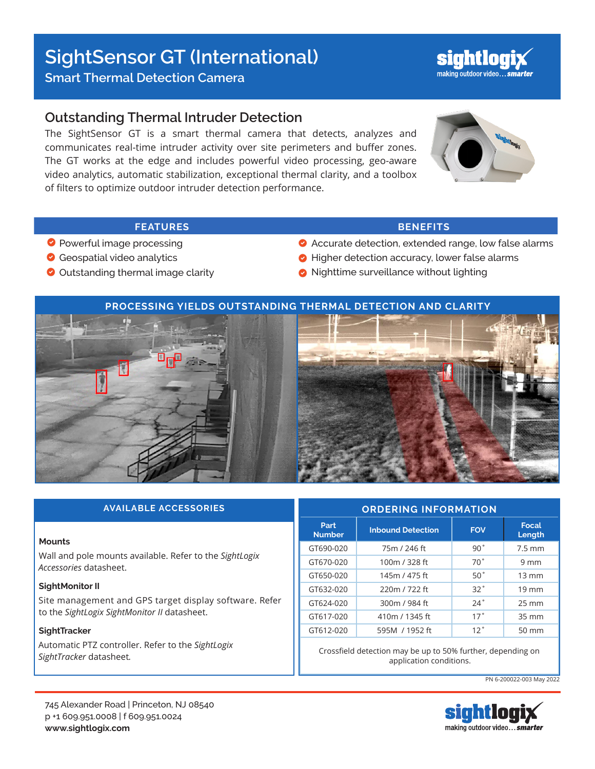## **SightSensor GT (International)**

**Smart Thermal Detection Camera** 

## **Outstanding Thermal Intruder Detection**

The SightSensor GT is a smart thermal camera that detects, analyzes and communicates real-time intruder activity over site perimeters and buffer zones. The GT works at the edge and includes powerful video processing, geo-aware video analytics, automatic stabilization, exceptional thermal clarity, and a toolbox of filters to optimize outdoor intruder detection performance.



sightiog

### **FEATURES BENEFITS**

- **Powerful image processing**
- Geospatial video analytics
- O Outstanding thermal image clarity

- Accurate detection, extended range, low false alarms
- Higher detection accuracy, lower false alarms
- Nighttime surveillance without lighting



| <b>AVAILABLE ACCESSORIES</b>                                                      | <b>ORDERING INFORMATION</b> |                          |                 |                   |
|-----------------------------------------------------------------------------------|-----------------------------|--------------------------|-----------------|-------------------|
|                                                                                   | Part<br><b>Number</b>       | <b>Inbound Detection</b> | <b>FOV</b>      | Focal<br>Length   |
| <b>Mounts</b>                                                                     | GT690-020                   | 75m / 246 ft             | 90°             | $7.5 \text{ mm}$  |
| Wall and pole mounts available. Refer to the SightLogix<br>Accessories datasheet. | GT670-020                   | 100m / 328 ft            | 70°             | $9 \text{ mm}$    |
|                                                                                   | GT650-020                   | 145m / 475 ft            | 50°             | $13 \text{ mm}$   |
| SightMonitor II                                                                   | GT632-020                   | 220m / 722 ft            | 32°             | $19 \text{ mm}$   |
| Site management and GPS target display software. Refer                            | GT624-020                   | 300m / 984 ft            | 24°             | $25 \, \text{mm}$ |
| to the SightLogix SightMonitor II datasheet.                                      | GT617-020                   | 410m / 1345 ft           | 17°             | 35 mm             |
| SightTracker                                                                      | GT612-020                   | 595M / 1952 ft           | 12 <sup>°</sup> | 50 mm             |
| Automatic PTZ controller. Refer to the SightLogix                                 |                             |                          |                 |                   |

Crossfield detection may be up to 50% further, depending on application conditions.

PN 6-200022-003 May 2022



*SightTracker* datasheet*.*

# making outdoor video... smarter